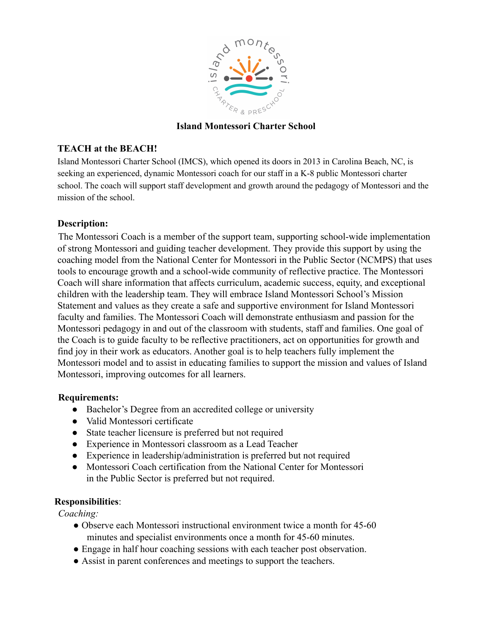

## **Island Montessori Charter School**

## **TEACH at the BEACH!**

Island Montessori Charter School (IMCS), which opened its doors in 2013 in Carolina Beach, NC, is seeking an experienced, dynamic Montessori coach for our staff in a K-8 public Montessori charter school. The coach will support staff development and growth around the pedagogy of Montessori and the mission of the school.

# **Description:**

The Montessori Coach is a member of the support team, supporting school-wide implementation of strong Montessori and guiding teacher development. They provide this support by using the coaching model from the National Center for Montessori in the Public Sector (NCMPS) that uses tools to encourage growth and a school-wide community of reflective practice. The Montessori Coach will share information that affects curriculum, academic success, equity, and exceptional children with the leadership team. They will embrace Island Montessori School's Mission Statement and values as they create a safe and supportive environment for Island Montessori faculty and families. The Montessori Coach will demonstrate enthusiasm and passion for the Montessori pedagogy in and out of the classroom with students, staff and families. One goal of the Coach is to guide faculty to be reflective practitioners, act on opportunities for growth and find joy in their work as educators. Another goal is to help teachers fully implement the Montessori model and to assist in educating families to support the mission and values of Island Montessori, improving outcomes for all learners.

## **Requirements:**

- Bachelor's Degree from an accredited college or university
- Valid Montessori certificate
- State teacher licensure is preferred but not required
- Experience in Montessori classroom as a Lead Teacher
- Experience in leadership/administration is preferred but not required
- Montessori Coach certification from the National Center for Montessori in the Public Sector is preferred but not required.

## **Responsibilities**:

*Coaching:*

- *●* Observe each Montessori instructional environment twice a month for 45-60 minutes and specialist environments once a month for 45-60 minutes.
- *●* Engage in half hour coaching sessions with each teacher post observation.
- *●* Assist in parent conferences and meetings to support the teachers.